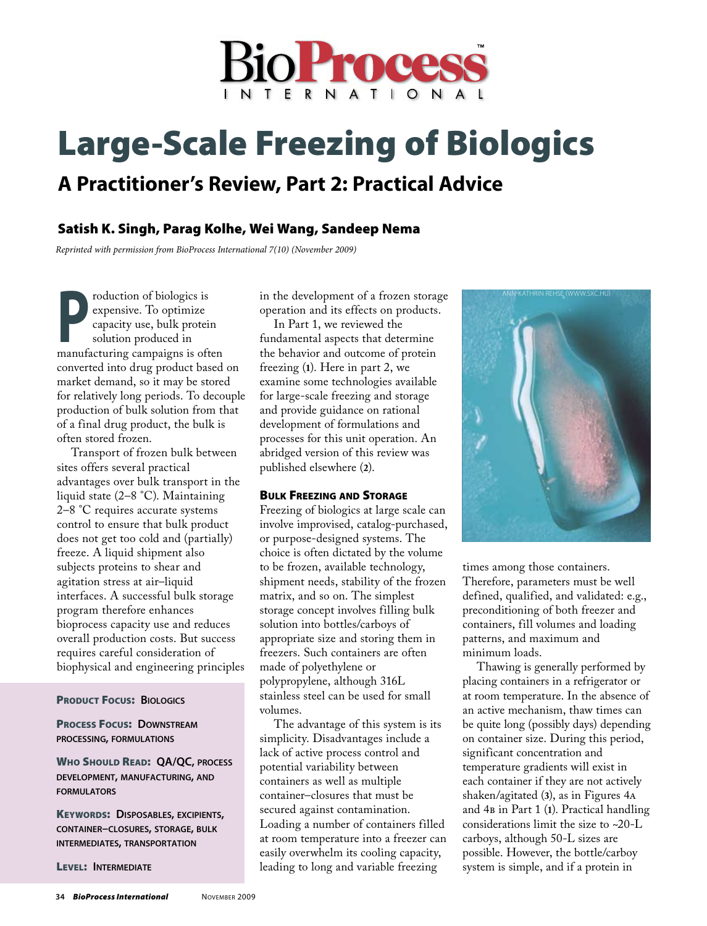

# Large-Scale Freezing of Biologics

# **A Practitioner's Review, Part 2: Practical Advice**

# Satish K. Singh, Parag Kolhe, Wei Wang, Sandeep Nema

*Reprinted with permission from BioProcess International 7(10) (November 2009)*

**Production of biologics is<br>
expensive. To optimize<br>
capacity use, bulk protein<br>
solution produced in<br>
manufacturing campaigns is often** expensive. To optimize capacity use, bulk protein solution produced in manufacturing campaigns is often converted into drug product based on market demand, so it may be stored for relatively long periods. To decouple production of bulk solution from that of a final drug product, the bulk is often stored frozen.

Transport of frozen bulk between sites offers several practical advantages over bulk transport in the liquid state (2–8 °C). Maintaining 2–8 °C requires accurate systems control to ensure that bulk product does not get too cold and (partially) freeze. A liquid shipment also subjects proteins to shear and agitation stress at air–liquid interfaces. A successful bulk storage program therefore enhances bioprocess capacity use and reduces overall production costs. But success requires careful consideration of biophysical and engineering principles

#### Product Focus: **Biologics**

## Process Focus: **Downstream processing, formulations**

Who Should Read: **QA/QC, process development, manufacturing, and formulators**

Keywords: **Disposables, excipients, container–closures, storage, bulk intermediates, transportation**

Level: **Intermediate**

in the development of a frozen storage operation and its effects on products.

In Part 1, we reviewed the fundamental aspects that determine the behavior and outcome of protein freezing (**1**). Here in part 2, we examine some technologies available for large-scale freezing and storage and provide guidance on rational development of formulations and processes for this unit operation. An abridged version of this review was published elsewhere (**2**).

# Bulk Freezing and Storage

Freezing of biologics at large scale can involve improvised, catalog-purchased, or purpose-designed systems. The choice is often dictated by the volume to be frozen, available technology, shipment needs, stability of the frozen matrix, and so on. The simplest storage concept involves filling bulk solution into bottles/carboys of appropriate size and storing them in freezers. Such containers are often made of polyethylene or polypropylene, although 316L stainless steel can be used for small volumes.

The advantage of this system is its simplicity. Disadvantages include a lack of active process control and potential variability between containers as well as multiple container–closures that must be secured against contamination. Loading a number of containers filled at room temperature into a freezer can easily overwhelm its cooling capacity, leading to long and variable freezing



times among those containers. Therefore, parameters must be well defined, qualified, and validated: e.g., preconditioning of both freezer and containers, fill volumes and loading patterns, and maximum and minimum loads.

Thawing is generally performed by placing containers in a refrigerator or at room temperature. In the absence of an active mechanism, thaw times can be quite long (possibly days) depending on container size. During this period, significant concentration and temperature gradients will exist in each container if they are not actively shaken/agitated (**3**), as in Figures 4a and 4b in Part 1 (**1**). Practical handling considerations limit the size to ~20-L carboys, although 50-L sizes are possible. However, the bottle/carboy system is simple, and if a protein in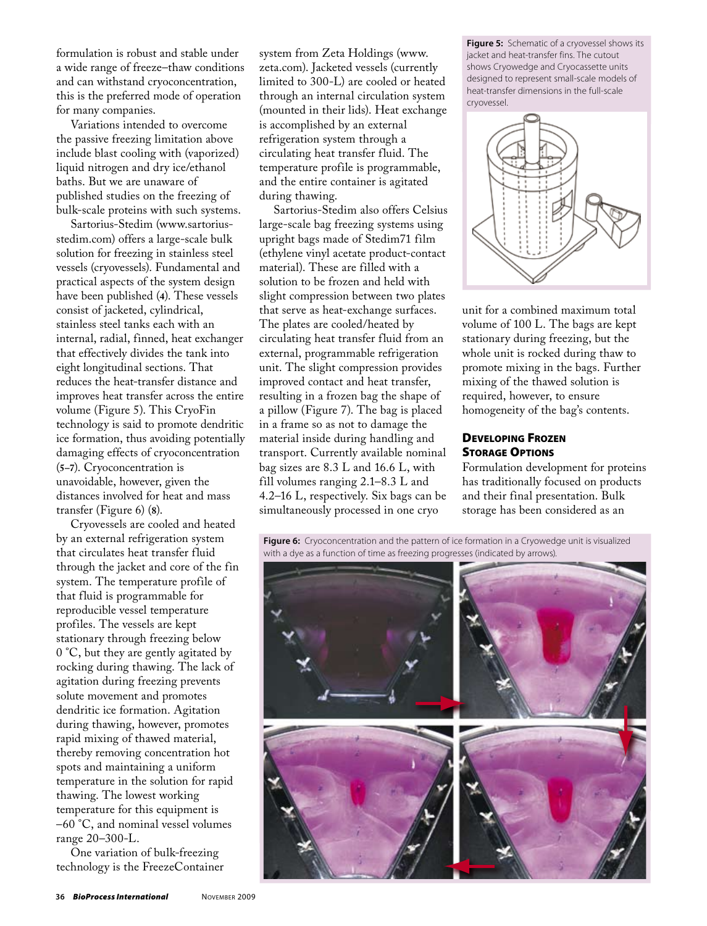formulation is robust and stable under a wide range of freeze–thaw conditions and can withstand cryoconcentration, this is the preferred mode of operation for many companies.

Variations intended to overcome the passive freezing limitation above include blast cooling with (vaporized) liquid nitrogen and dry ice/ethanol baths. But we are unaware of published studies on the freezing of bulk-scale proteins with such systems.

Sartorius-Stedim (www.sartoriusstedim.com) offers a large-scale bulk solution for freezing in stainless steel vessels (cryovessels). Fundamental and practical aspects of the system design have been published (**4**). These vessels consist of jacketed, cylindrical, stainless steel tanks each with an internal, radial, finned, heat exchanger that effectively divides the tank into eight longitudinal sections. That reduces the heat-transfer distance and improves heat transfer across the entire volume (Figure 5). This CryoFin technology is said to promote dendritic ice formation, thus avoiding potentially damaging effects of cryoconcentration (**5–7**). Cryoconcentration is unavoidable, however, given the distances involved for heat and mass transfer (Figure 6) (**8**).

Cryovessels are cooled and heated by an external refrigeration system that circulates heat transfer fluid through the jacket and core of the fin system. The temperature profile of that fluid is programmable for reproducible vessel temperature profiles. The vessels are kept stationary through freezing below 0 °C, but they are gently agitated by rocking during thawing. The lack of agitation during freezing prevents solute movement and promotes dendritic ice formation. Agitation during thawing, however, promotes rapid mixing of thawed material, thereby removing concentration hot spots and maintaining a uniform temperature in the solution for rapid thawing. The lowest working temperature for this equipment is –60 °C, and nominal vessel volumes range 20–300-L.

One variation of bulk-freezing technology is the FreezeContainer system from Zeta Holdings (www. zeta.com). Jacketed vessels (currently limited to 300-L) are cooled or heated through an internal circulation system (mounted in their lids). Heat exchange is accomplished by an external refrigeration system through a circulating heat transfer fluid. The temperature profile is programmable, and the entire container is agitated during thawing.

Sartorius-Stedim also offers Celsius large-scale bag freezing systems using upright bags made of Stedim71 film (ethylene vinyl acetate product-contact material). These are filled with a solution to be frozen and held with slight compression between two plates that serve as heat-exchange surfaces. The plates are cooled/heated by circulating heat transfer fluid from an external, programmable refrigeration unit. The slight compression provides improved contact and heat transfer, resulting in a frozen bag the shape of a pillow (Figure 7). The bag is placed in a frame so as not to damage the material inside during handling and transport. Currently available nominal bag sizes are 8.3 L and 16.6 L, with fill volumes ranging 2.1–8.3 L and 4.2–16 L, respectively. Six bags can be simultaneously processed in one cryo

**Figure 5:** Schematic of a cryovessel shows its jacket and heat-transfer fins. The cutout shows Cryowedge and Cryocassette units designed to represent small-scale models of heat-transfer dimensions in the full-scale cryovessel.



unit for a combined maximum total volume of 100 L. The bags are kept stationary during freezing, but the whole unit is rocked during thaw to promote mixing in the bags. Further mixing of the thawed solution is required, however, to ensure homogeneity of the bag's contents.

# Developing Frozen **STORAGE OPTIONS**

Formulation development for proteins has traditionally focused on products and their final presentation. Bulk storage has been considered as an

**Figure 6:** Cryoconcentration and the pattern of ice formation in a Cryowedge unit is visualized with a dye as a function of time as freezing progresses (indicated by arrows).

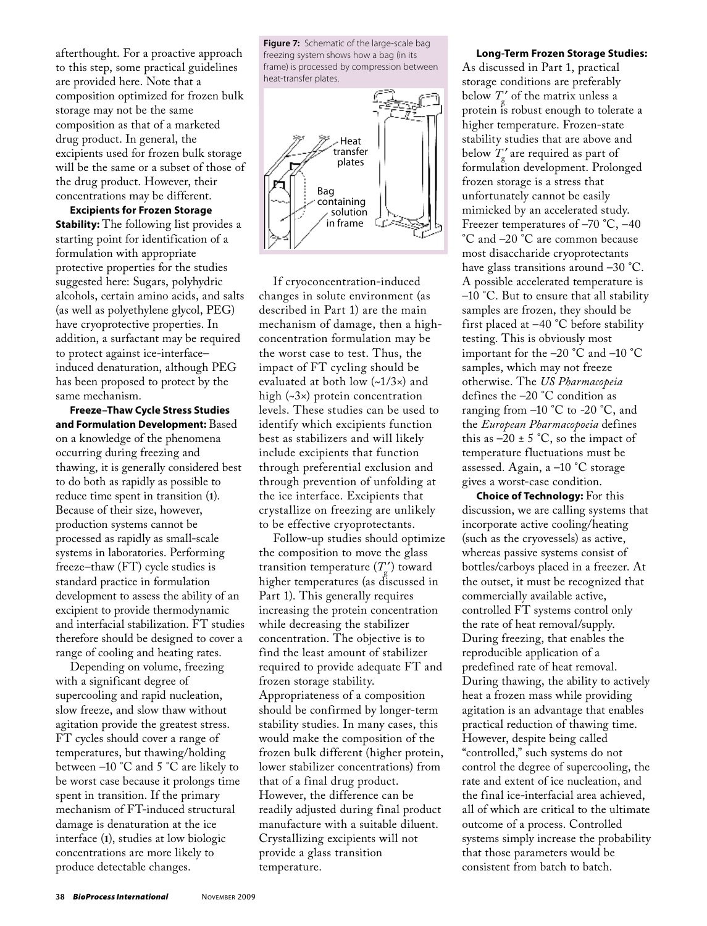afterthought. For a proactive approach to this step, some practical guidelines are provided here. Note that a composition optimized for frozen bulk storage may not be the same composition as that of a marketed drug product. In general, the excipients used for frozen bulk storage will be the same or a subset of those of the drug product. However, their concentrations may be different.

**Excipients for Frozen Storage Stability:** The following list provides a starting point for identification of a formulation with appropriate protective properties for the studies suggested here: Sugars, polyhydric alcohols, certain amino acids, and salts (as well as polyethylene glycol, PEG) have cryoprotective properties. In addition, a surfactant may be required to protect against ice-interface– induced denaturation, although PEG has been proposed to protect by the same mechanism.

**Freeze–Thaw Cycle Stress Studies and Formulation Development:** Based on a knowledge of the phenomena occurring during freezing and thawing, it is generally considered best to do both as rapidly as possible to reduce time spent in transition (**1**). Because of their size, however, production systems cannot be processed as rapidly as small-scale systems in laboratories. Performing freeze–thaw (FT) cycle studies is standard practice in formulation development to assess the ability of an excipient to provide thermodynamic and interfacial stabilization. FT studies therefore should be designed to cover a range of cooling and heating rates.

Depending on volume, freezing with a significant degree of supercooling and rapid nucleation, slow freeze, and slow thaw without agitation provide the greatest stress. FT cycles should cover a range of temperatures, but thawing/holding between –10 °C and 5 °C are likely to be worst case because it prolongs time spent in transition. If the primary mechanism of FT-induced structural damage is denaturation at the ice interface (**1**), studies at low biologic concentrations are more likely to produce detectable changes.

**Figure 7:** Schematic of the large-scale bag freezing system shows how a bag (in its frame) is processed by compression between heat-transfer plates.



If cryoconcentration-induced changes in solute environment (as described in Part 1) are the main mechanism of damage, then a highconcentration formulation may be the worst case to test. Thus, the impact of FT cycling should be evaluated at both low (~1/3×) and high (~3×) protein concentration levels. These studies can be used to identify which excipients function best as stabilizers and will likely include excipients that function through preferential exclusion and through prevention of unfolding at the ice interface. Excipients that crystallize on freezing are unlikely to be effective cryoprotectants.

Follow-up studies should optimize the composition to move the glass transition temperature  $(T_g^{\prime})$  toward higher temperatures (as discussed in Part 1). This generally requires increasing the protein concentration while decreasing the stabilizer concentration. The objective is to find the least amount of stabilizer required to provide adequate FT and frozen storage stability. Appropriateness of a composition should be confirmed by longer-term stability studies. In many cases, this would make the composition of the frozen bulk different (higher protein, lower stabilizer concentrations) from that of a final drug product. However, the difference can be readily adjusted during final product manufacture with a suitable diluent. Crystallizing excipients will not provide a glass transition temperature.

#### **Long-Term Frozen Storage Studies:**

As discussed in Part 1, practical storage conditions are preferably below  $T'_{\rm g}$  of the matrix unless a protein is robust enough to tolerate a higher temperature. Frozen-state stability studies that are above and below  $T'_{\rm g}$  are required as part of formulation development. Prolonged frozen storage is a stress that unfortunately cannot be easily mimicked by an accelerated study. Freezer temperatures of –70 °C, –40 °C and –20 °C are common because most disaccharide cryoprotectants have glass transitions around –30 °C. A possible accelerated temperature is –10 °C. But to ensure that all stability samples are frozen, they should be first placed at –40 °C before stability testing. This is obviously most important for the –20 °C and –10 °C samples, which may not freeze otherwise. The *US Pharmacopeia*  defines the –20 °C condition as ranging from  $-10$  °C to  $-20$  °C, and the *European Pharmacopoeia* defines this as  $-20 \pm 5$  °C, so the impact of temperature fluctuations must be assessed. Again, a –10 °C storage gives a worst-case condition.

**Choice of Technology:** For this discussion, we are calling systems that incorporate active cooling/heating (such as the cryovessels) as active, whereas passive systems consist of bottles/carboys placed in a freezer. At the outset, it must be recognized that commercially available active, controlled FT systems control only the rate of heat removal/supply. During freezing, that enables the reproducible application of a predefined rate of heat removal. During thawing, the ability to actively heat a frozen mass while providing agitation is an advantage that enables practical reduction of thawing time. However, despite being called "controlled," such systems do not control the degree of supercooling, the rate and extent of ice nucleation, and the final ice-interfacial area achieved, all of which are critical to the ultimate outcome of a process. Controlled systems simply increase the probability that those parameters would be consistent from batch to batch.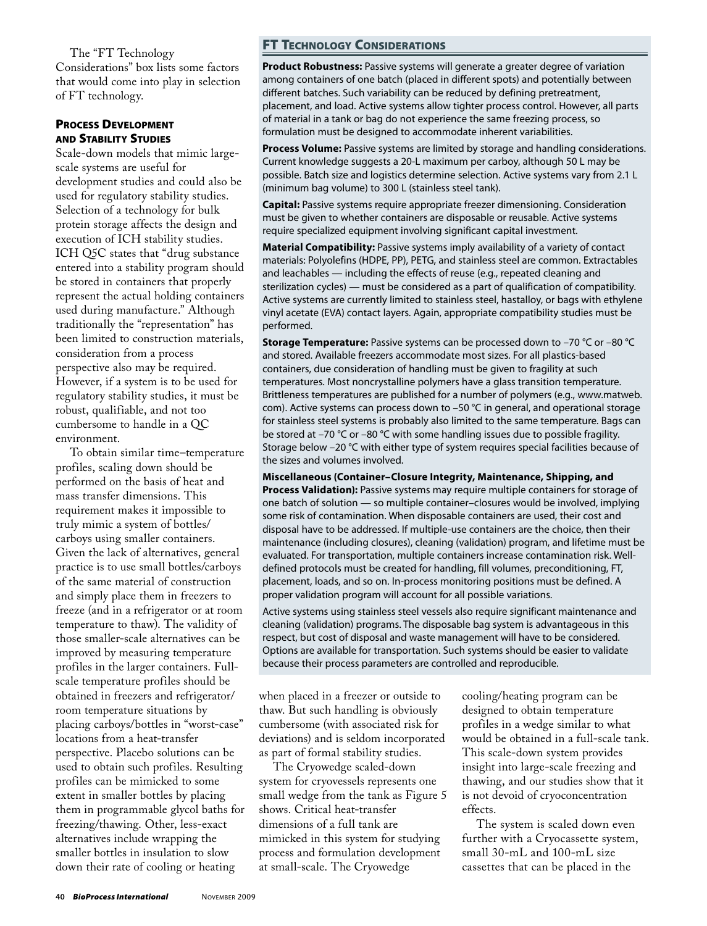The "FT Technology Considerations" box lists some factors that would come into play in selection of FT technology.

# Process Development and Stability Studies

Scale-down models that mimic largescale systems are useful for development studies and could also be used for regulatory stability studies. Selection of a technology for bulk protein storage affects the design and execution of ICH stability studies. ICH Q5C states that "drug substance entered into a stability program should be stored in containers that properly represent the actual holding containers used during manufacture." Although traditionally the "representation" has been limited to construction materials, consideration from a process perspective also may be required. However, if a system is to be used for regulatory stability studies, it must be robust, qualifiable, and not too cumbersome to handle in a QC environment.

To obtain similar time–temperature profiles, scaling down should be performed on the basis of heat and mass transfer dimensions. This requirement makes it impossible to truly mimic a system of bottles/ carboys using smaller containers. Given the lack of alternatives, general practice is to use small bottles/carboys of the same material of construction and simply place them in freezers to freeze (and in a refrigerator or at room temperature to thaw). The validity of those smaller-scale alternatives can be improved by measuring temperature profiles in the larger containers. Fullscale temperature profiles should be obtained in freezers and refrigerator/ room temperature situations by placing carboys/bottles in "worst-case" locations from a heat-transfer perspective. Placebo solutions can be used to obtain such profiles. Resulting profiles can be mimicked to some extent in smaller bottles by placing them in programmable glycol baths for freezing/thawing. Other, less-exact alternatives include wrapping the smaller bottles in insulation to slow down their rate of cooling or heating

# FT Technology Considerations

**Product Robustness:** Passive systems will generate a greater degree of variation among containers of one batch (placed in different spots) and potentially between different batches. Such variability can be reduced by defining pretreatment, placement, and load. Active systems allow tighter process control. However, all parts of material in a tank or bag do not experience the same freezing process, so formulation must be designed to accommodate inherent variabilities.

**Process Volume:** Passive systems are limited by storage and handling considerations. Current knowledge suggests a 20-L maximum per carboy, although 50 L may be possible. Batch size and logistics determine selection. Active systems vary from 2.1 L (minimum bag volume) to 300 L (stainless steel tank).

**Capital:** Passive systems require appropriate freezer dimensioning. Consideration must be given to whether containers are disposable or reusable. Active systems require specialized equipment involving significant capital investment.

**Material Compatibility:** Passive systems imply availability of a variety of contact materials: Polyolefins (HDPE, PP), PETG, and stainless steel are common. Extractables and leachables — including the effects of reuse (e.g., repeated cleaning and sterilization cycles) — must be considered as a part of qualification of compatibility. Active systems are currently limited to stainless steel, hastalloy, or bags with ethylene vinyl acetate (EVA) contact layers. Again, appropriate compatibility studies must be performed.

**Storage Temperature:** Passive systems can be processed down to –70 °C or –80 °C and stored. Available freezers accommodate most sizes. For all plastics-based containers, due consideration of handling must be given to fragility at such temperatures. Most noncrystalline polymers have a glass transition temperature. Brittleness temperatures are published for a number of polymers (e.g., www.matweb. com). Active systems can process down to –50 °C in general, and operational storage for stainless steel systems is probably also limited to the same temperature. Bags can be stored at –70 °C or –80 °C with some handling issues due to possible fragility. Storage below –20 °C with either type of system requires special facilities because of the sizes and volumes involved.

**Miscellaneous (Container–Closure Integrity, Maintenance, Shipping, and Process Validation):** Passive systems may require multiple containers for storage of one batch of solution — so multiple container–closures would be involved, implying some risk of contamination. When disposable containers are used, their cost and disposal have to be addressed. If multiple-use containers are the choice, then their maintenance (including closures), cleaning (validation) program, and lifetime must be evaluated. For transportation, multiple containers increase contamination risk. Welldefined protocols must be created for handling, fill volumes, preconditioning, FT, placement, loads, and so on. In-process monitoring positions must be defined. A proper validation program will account for all possible variations.

Active systems using stainless steel vessels also require significant maintenance and cleaning (validation) programs. The disposable bag system is advantageous in this respect, but cost of disposal and waste management will have to be considered. Options are available for transportation. Such systems should be easier to validate because their process parameters are controlled and reproducible.

when placed in a freezer or outside to thaw. But such handling is obviously cumbersome (with associated risk for deviations) and is seldom incorporated as part of formal stability studies.

The Cryowedge scaled-down system for cryovessels represents one small wedge from the tank as Figure 5 shows. Critical heat-transfer dimensions of a full tank are mimicked in this system for studying process and formulation development at small-scale. The Cryowedge

cooling/heating program can be designed to obtain temperature profiles in a wedge similar to what would be obtained in a full-scale tank. This scale-down system provides insight into large-scale freezing and thawing, and our studies show that it is not devoid of cryoconcentration effects.

The system is scaled down even further with a Cryocassette system, small 30-mL and 100-mL size cassettes that can be placed in the